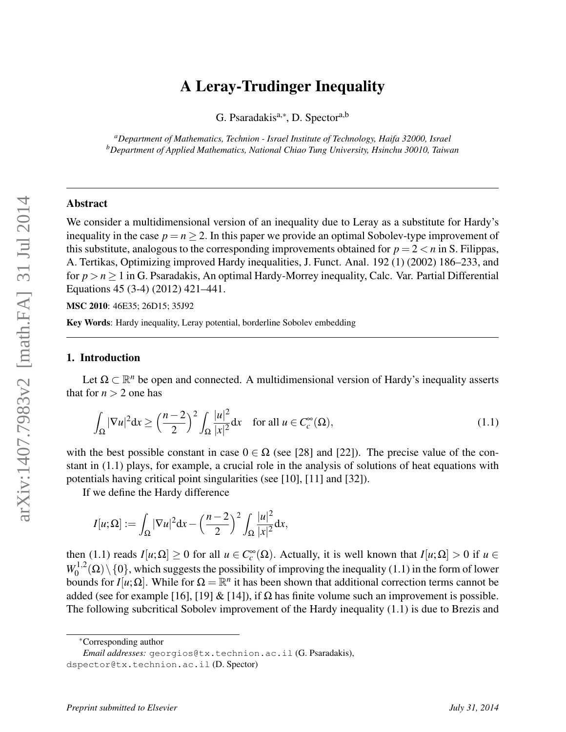# A Leray-Trudinger Inequality

G. Psaradakis<sup>a,∗</sup>, D. Spector<sup>a,b</sup>

*<sup>a</sup>Department of Mathematics, Technion - Israel Institute of Technology, Haifa 32000, Israel <sup>b</sup>Department of Applied Mathematics, National Chiao Tung University, Hsinchu 30010, Taiwan*

### Abstract

We consider a multidimensional version of an inequality due to Leray as a substitute for Hardy's inequality in the case  $p = n > 2$ . In this paper we provide an optimal Sobolev-type improvement of this substitute, analogous to the corresponding improvements obtained for  $p = 2 < n$  in S. Filippas, A. Tertikas, Optimizing improved Hardy inequalities, J. Funct. Anal. 192 (1) (2002) 186–233, and for *p* > *n* ≥ 1 in G. Psaradakis, An optimal Hardy-Morrey inequality, Calc. Var. Partial Differential Equations 45 (3-4) (2012) 421–441.

MSC 2010: 46E35; 26D15; 35J92

Key Words: Hardy inequality, Leray potential, borderline Sobolev embedding

#### 1. Introduction

Let  $\Omega \subset \mathbb{R}^n$  be open and connected. A multidimensional version of Hardy's inequality asserts that for  $n > 2$  one has

$$
\int_{\Omega} |\nabla u|^2 dx \ge \left(\frac{n-2}{2}\right)^2 \int_{\Omega} \frac{|u|^2}{|x|^2} dx \quad \text{for all } u \in C_c^{\infty}(\Omega),\tag{1.1}
$$

with the best possible constant in case  $0 \in \Omega$  (see [28] and [22]). The precise value of the constant in (1.1) plays, for example, a crucial role in the analysis of solutions of heat equations with potentials having critical point singularities (see [10], [11] and [32]).

If we define the Hardy difference

$$
I[u;\Omega] := \int_{\Omega} |\nabla u|^2 dx - \left(\frac{n-2}{2}\right)^2 \int_{\Omega} \frac{|u|^2}{|x|^2} dx,
$$

then (1.1) reads  $I[u;\Omega] \ge 0$  for all  $u \in C_c^{\infty}(\Omega)$ . Actually, it is well known that  $I[u;\Omega] > 0$  if  $u \in$  $W_0^{1,2}$  $\int_0^{1/2}$  ( $\Omega$ ) \ {0}, which suggests the possibility of improving the inequality (1.1) in the form of lower bounds for *I*[ $u$ ;  $\Omega$ ]. While for  $\Omega = \mathbb{R}^n$  it has been shown that additional correction terms cannot be added (see for example [16], [19] & [14]), if  $\Omega$  has finite volume such an improvement is possible. The following subcritical Sobolev improvement of the Hardy inequality (1.1) is due to Brezis and

∗Corresponding author

*Email addresses:* georgios@tx.technion.ac.il (G. Psaradakis),

dspector@tx.technion.ac.il (D. Spector)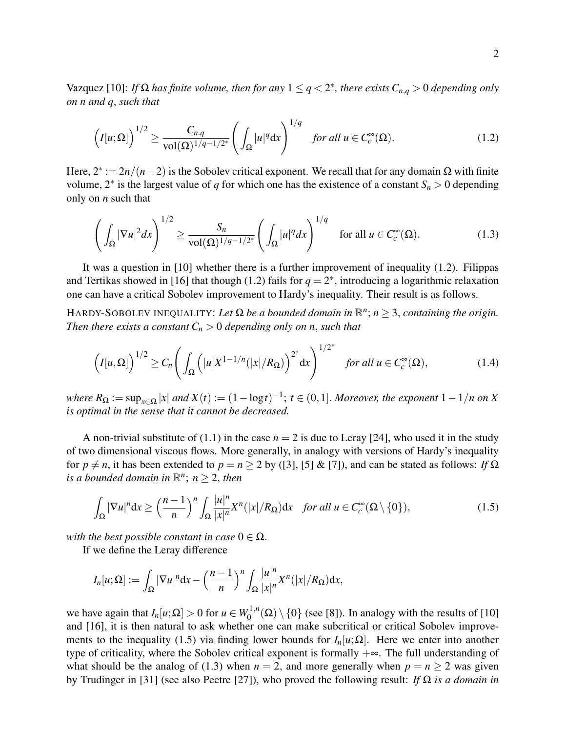Vazquez [10]: *If*  $\Omega$  *has finite volume, then for any*  $1 \leq q < 2^*$ *, there exists*  $C_{n,q} > 0$  *depending only on n and q*, *such that*

$$
\left(I[u;\Omega]\right)^{1/2} \ge \frac{C_{n,q}}{\text{vol}(\Omega)^{1/q-1/2^*}} \left(\int_{\Omega} |u|^q \, \mathrm{d}x\right)^{1/q} \quad \text{for all } u \in C_c^{\infty}(\Omega). \tag{1.2}
$$

Here, 2∗ := 2*n*/(*n*−2) is the Sobolev critical exponent. We recall that for any domain Ω with finite volume,  $2^*$  is the largest value of *q* for which one has the existence of a constant  $S_n > 0$  depending only on *n* such that

$$
\left(\int_{\Omega} |\nabla u|^2 dx\right)^{1/2} \ge \frac{S_n}{\text{vol}(\Omega)^{1/q-1/2^*}} \left(\int_{\Omega} |u|^q dx\right)^{1/q} \quad \text{for all } u \in C_c^{\infty}(\Omega). \tag{1.3}
$$

It was a question in [10] whether there is a further improvement of inequality (1.2). Filippas and Tertikas showed in [16] that though (1.2) fails for  $q = 2^*$ , introducing a logarithmic relaxation one can have a critical Sobolev improvement to Hardy's inequality. Their result is as follows.

HARDY-SOBOLEV INEQUALITY: Let  $\Omega$  be a bounded domain in  $\mathbb{R}^n$ ;  $n \geq 3$ , containing the origin. *Then there exists a constant*  $C_n > 0$  *depending only on n, such that* 

$$
\left(I[u,\Omega]\right)^{1/2} \ge C_n \left(\int_{\Omega} \left(|u|X^{1-1/n}(|x|/R_{\Omega})\right)^{2^*} dx\right)^{1/2^*} \quad \text{for all } u \in C_c^{\infty}(\Omega),\tag{1.4}
$$

 $where R_{\Omega} := \sup_{x \in \Omega} |x|$  and  $X(t) := (1 - \log t)^{-1}$ ;  $t \in (0, 1]$ . *Moreover, the exponent*  $1 - 1/n$  on X *is optimal in the sense that it cannot be decreased.*

A non-trivial substitute of  $(1.1)$  in the case  $n = 2$  is due to Leray [24], who used it in the study of two dimensional viscous flows. More generally, in analogy with versions of Hardy's inequality for  $p \neq n$ , it has been extended to  $p = n > 2$  by ([3], [5] & [7]), and can be stated as follows: *If*  $\Omega$ *is a bounded domain in*  $\mathbb{R}^n$ ;  $n \geq 2$ , *then* 

$$
\int_{\Omega} |\nabla u|^n dx \ge \left(\frac{n-1}{n}\right)^n \int_{\Omega} \frac{|u|^n}{|x|^n} X^n(|x|/R_{\Omega}) dx \quad \text{for all } u \in C_c^{\infty}(\Omega \setminus \{0\}),\tag{1.5}
$$

*with the best possible constant in case*  $0 \in \Omega$ .

If we define the Leray difference

$$
I_n[u;\Omega] := \int_{\Omega} |\nabla u|^n \mathrm{d}x - \left(\frac{n-1}{n}\right)^n \int_{\Omega} \frac{|u|^n}{|x|^n} X^n(|x|/R_{\Omega}) \mathrm{d}x,
$$

we have again that  $I_n[u;\Omega] > 0$  for  $u \in W_0^{1,n}$  $\binom{1}{0} \setminus \{0\}$  (see [8]). In analogy with the results of [10] and [16], it is then natural to ask whether one can make subcritical or critical Sobolev improvements to the inequality (1.5) via finding lower bounds for  $I_n[u;\Omega]$ . Here we enter into another type of criticality, where the Sobolev critical exponent is formally  $+\infty$ . The full understanding of what should be the analog of (1.3) when  $n = 2$ , and more generally when  $p = n \ge 2$  was given by Trudinger in [31] (see also Peetre [27]), who proved the following result: *If* Ω *is a domain in*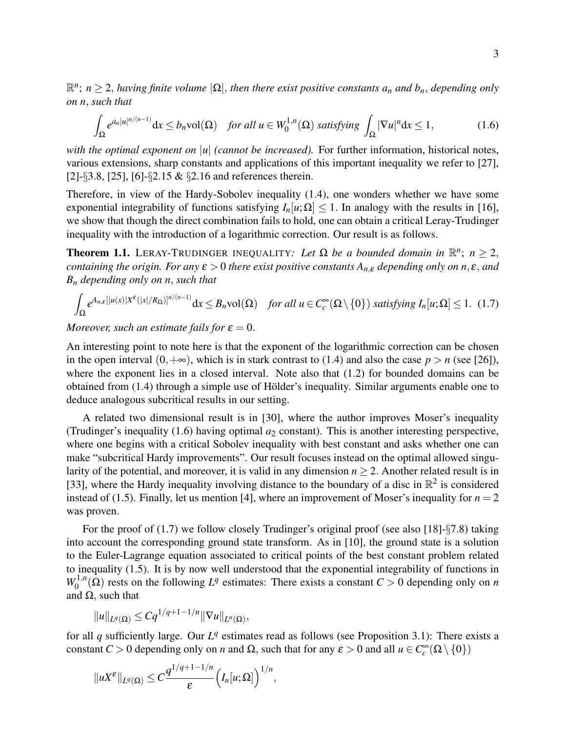R *n* ; *n* ≥ 2, *having finite volume* |Ω|, *then there exist positive constants a<sup>n</sup> and bn*, *depending only on n*, *such that*

$$
\int_{\Omega} e^{a_n|u|^{n/(n-1)}} \mathrm{d}x \le b_n \mathrm{vol}(\Omega) \quad \text{for all } u \in W_0^{1,n}(\Omega) \text{ satisfying } \int_{\Omega} |\nabla u|^n \mathrm{d}x \le 1,\tag{1.6}
$$

*with the optimal exponent on* |*u*| *(cannot be increased)*. For further information, historical notes, various extensions, sharp constants and applications of this important inequality we refer to [27], [2]-§3.8, [25], [6]-§2.15 & §2.16 and references therein.

Therefore, in view of the Hardy-Sobolev inequality (1.4), one wonders whether we have some exponential integrability of functions satisfying  $I_n[u;\Omega] \leq 1$ . In analogy with the results in [16], we show that though the direct combination fails to hold, one can obtain a critical Leray-Trudinger inequality with the introduction of a logarithmic correction. Our result is as follows.

**Theorem 1.1.** LERAY-TRUDINGER INEQUALITY: Let  $\Omega$  be a bounded domain in  $\mathbb{R}^n$ ;  $n \geq 2$ , *containing the origin. For any*  $\varepsilon > 0$  *there exist positive constants*  $A_{n,\varepsilon}$  *depending only on*  $n, \varepsilon$ *, and B<sup>n</sup> depending only on n*, *such that*

$$
\int_{\Omega} e^{A_{n,\varepsilon}[|u(x)|X^{\varepsilon}(|x|/R_{\Omega})]^{n/(n-1)}} dx \leq B_n \text{vol}(\Omega) \quad \text{for all } u \in C_c^{\infty}(\Omega \setminus \{0\}) \text{ satisfying } I_n[u;\Omega] \leq 1. \tag{1.7}
$$

*Moreover, such an estimate fails for*  $\varepsilon = 0$ .

An interesting point to note here is that the exponent of the logarithmic correction can be chosen in the open interval  $(0, +\infty)$ , which is in stark contrast to (1.4) and also the case  $p > n$  (see [26]), where the exponent lies in a closed interval. Note also that  $(1.2)$  for bounded domains can be obtained from  $(1.4)$  through a simple use of Hölder's inequality. Similar arguments enable one to deduce analogous subcritical results in our setting.

A related two dimensional result is in [30], where the author improves Moser's inequality (Trudinger's inequality  $(1.6)$  having optimal  $a_2$  constant). This is another interesting perspective, where one begins with a critical Sobolev inequality with best constant and asks whether one can make "subcritical Hardy improvements". Our result focuses instead on the optimal allowed singularity of the potential, and moreover, it is valid in any dimension  $n \geq 2$ . Another related result is in [33], where the Hardy inequality involving distance to the boundary of a disc in  $\mathbb{R}^2$  is considered instead of (1.5). Finally, let us mention [4], where an improvement of Moser's inequality for  $n = 2$ was proven.

For the proof of (1.7) we follow closely Trudinger's original proof (see also [18]-§7.8) taking into account the corresponding ground state transform. As in [10], the ground state is a solution to the Euler-Lagrange equation associated to critical points of the best constant problem related to inequality (1.5). It is by now well understood that the exponential integrability of functions in  $W_0^{1,n}$  $U_0^{1,n}(\Omega)$  rests on the following  $L^q$  estimates: There exists a constant  $C > 0$  depending only on *n* and  $Ω$ , such that

$$
||u||_{L^{q}(\Omega)} \leq Cq^{1/q+1-1/n} ||\nabla u||_{L^{n}(\Omega)},
$$

for all  $q$  sufficiently large. Our  $L^q$  estimates read as follows (see Proposition 3.1): There exists a constant *C* > 0 depending only on *n* and  $\Omega$ , such that for any  $\varepsilon$  > 0 and all  $u \in C_c^{\infty}(\Omega \setminus \{0\})$ 

$$
||uX^{\varepsilon}||_{L^{q}(\Omega)} \leq C \frac{q^{1/q+1-1/n}}{\varepsilon} \Big( I_n[u;\Omega] \Big)^{1/n},
$$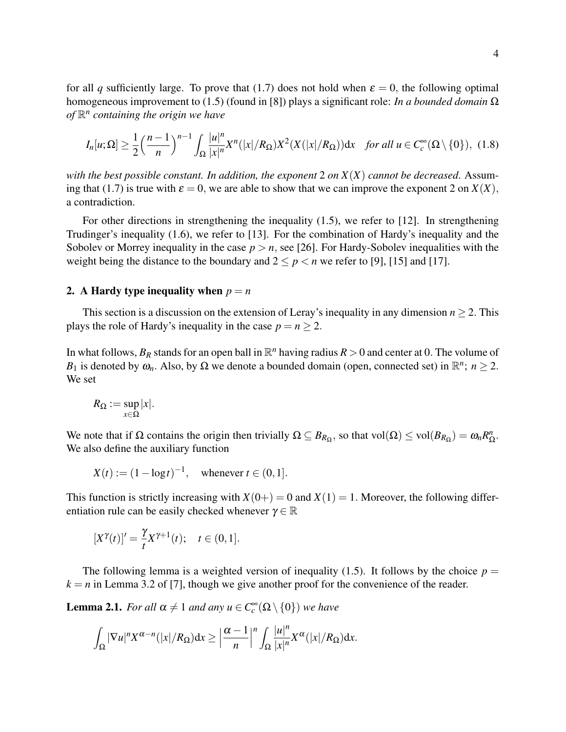for all *q* sufficiently large. To prove that (1.7) does not hold when  $\varepsilon = 0$ , the following optimal homogeneous improvement to (1.5) (found in [8]) plays a significant role: *In a bounded domain* Ω *of* R *n containing the origin we have*

$$
I_n[u;\Omega] \ge \frac{1}{2} \left(\frac{n-1}{n}\right)^{n-1} \int_{\Omega} \frac{|u|^n}{|x|^n} X^n(|x|/R_{\Omega}) X^2(X(|x|/R_{\Omega})) dx \quad \text{for all } u \in C_c^{\infty}(\Omega \setminus \{0\}), \tag{1.8}
$$

*with the best possible constant. In addition, the exponent* 2 *on*  $X(X)$  *cannot be decreased.* Assuming that (1.7) is true with  $\varepsilon = 0$ , we are able to show that we can improve the exponent 2 on  $X(X)$ , a contradiction.

For other directions in strengthening the inequality  $(1.5)$ , we refer to [12]. In strengthening Trudinger's inequality (1.6), we refer to [13]. For the combination of Hardy's inequality and the Sobolev or Morrey inequality in the case  $p > n$ , see [26]. For Hardy-Sobolev inequalities with the weight being the distance to the boundary and  $2 \le p < n$  we refer to [9], [15] and [17].

### 2. A Hardy type inequality when  $p = n$

This section is a discussion on the extension of Leray's inequality in any dimension  $n \geq 2$ . This plays the role of Hardy's inequality in the case  $p = n > 2$ .

In what follows,  $B_R$  stands for an open ball in  $\mathbb{R}^n$  having radius  $R > 0$  and center at 0. The volume of *B*<sub>1</sub> is denoted by  $\omega_n$ . Also, by  $\Omega$  we denote a bounded domain (open, connected set) in  $\mathbb{R}^n$ ;  $n \ge 2$ . We set

$$
R_{\Omega}:=\sup_{x\in\Omega}|x|.
$$

We note that if  $\Omega$  contains the origin then trivially  $\Omega \subseteq B_{R_{\Omega}}$ , so that vol $(\Omega) \le \text{vol}(B_{R_{\Omega}}) = \omega_n R_{\Omega}^n$ n<br>Ω• We also define the auxiliary function

$$
X(t) := (1 - \log t)^{-1}
$$
, whenever  $t \in (0, 1]$ .

This function is strictly increasing with  $X(0+) = 0$  and  $X(1) = 1$ . Moreover, the following differentiation rule can be easily checked whenever  $\gamma \in \mathbb{R}$ 

$$
[X^{\gamma}(t)]' = \frac{\gamma}{t} X^{\gamma+1}(t); \quad t \in (0,1].
$$

The following lemma is a weighted version of inequality (1.5). It follows by the choice  $p =$  $k = n$  in Lemma 3.2 of [7], though we give another proof for the convenience of the reader.

**Lemma 2.1.** *For all*  $\alpha \neq 1$  *and any*  $u \in C_c^{\infty}(\Omega \setminus \{0\})$  *we have* 

$$
\int_{\Omega} |\nabla u|^n X^{\alpha-n}(|x|/R_{\Omega}) dx \geq \left|\frac{\alpha-1}{n}\right|^{n} \int_{\Omega} \frac{|u|^n}{|x|^n} X^{\alpha}(|x|/R_{\Omega}) dx.
$$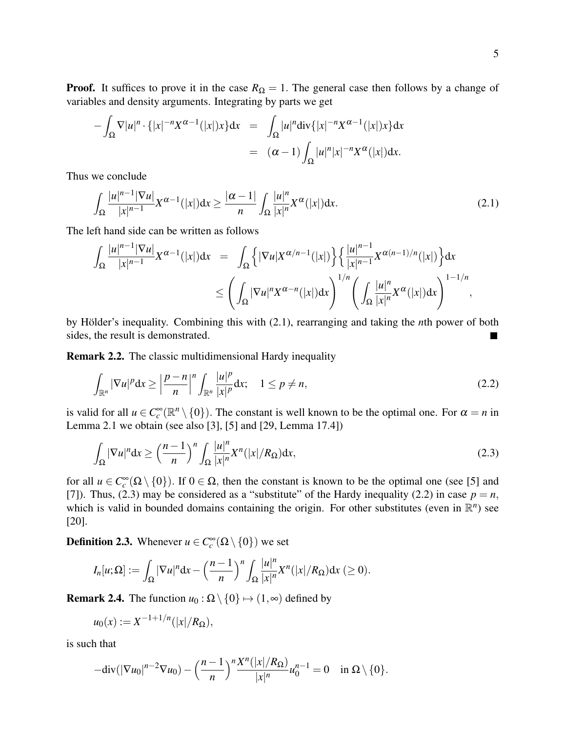$$
-\int_{\Omega} \nabla |u|^n \cdot \{|x|^{-n} X^{\alpha-1}(|x|) x\} dx = \int_{\Omega} |u|^n \operatorname{div} \{|x|^{-n} X^{\alpha-1}(|x|) x\} dx
$$
  

$$
= (\alpha - 1) \int_{\Omega} |u|^n |x|^{-n} X^{\alpha}(|x|) dx.
$$

Thus we conclude

$$
\int_{\Omega} \frac{|u|^{n-1} |\nabla u|}{|x|^{n-1}} X^{\alpha-1}(|x|) dx \ge \frac{|\alpha-1|}{n} \int_{\Omega} \frac{|u|^n}{|x|^n} X^{\alpha}(|x|) dx.
$$
\n(2.1)

The left hand side can be written as follows

$$
\int_{\Omega} \frac{|u|^{n-1} |\nabla u|}{|x|^{n-1}} X^{\alpha-1}(|x|) dx = \int_{\Omega} \left\{ |\nabla u| X^{\alpha/n-1}(|x|) \right\} \left\{ \frac{|u|^{n-1}}{|x|^{n-1}} X^{\alpha(n-1)/n}(|x|) \right\} dx
$$
  

$$
\leq \left( \int_{\Omega} |\nabla u|^n X^{\alpha-n}(|x|) dx \right)^{1/n} \left( \int_{\Omega} \frac{|u|^n}{|x|^n} X^{\alpha}(|x|) dx \right)^{1-1/n},
$$

by Hölder's inequality. Combining this with (2.1), rearranging and taking the *n*th power of both sides, the result is demonstrated.

Remark 2.2. The classic multidimensional Hardy inequality

$$
\int_{\mathbb{R}^n} |\nabla u|^p dx \ge \left| \frac{p-n}{n} \right|^n \int_{\mathbb{R}^n} \frac{|u|^p}{|x|^p} dx; \quad 1 \le p \ne n,
$$
\n(2.2)

is valid for all  $u \in C_c^{\infty}(\mathbb{R}^n \setminus \{0\})$ . The constant is well known to be the optimal one. For  $\alpha = n$  in Lemma 2.1 we obtain (see also [3], [5] and [29, Lemma 17.4])

$$
\int_{\Omega} |\nabla u|^n dx \ge \left(\frac{n-1}{n}\right)^n \int_{\Omega} \frac{|u|^n}{|x|^n} X^n(|x|/R_{\Omega}) dx,
$$
\n(2.3)

for all  $u \in C_c^{\infty}(\Omega \setminus \{0\})$ . If  $0 \in \Omega$ , then the constant is known to be the optimal one (see [5] and [7]). Thus, (2.3) may be considered as a "substitute" of the Hardy inequality (2.2) in case  $p = n$ , which is valid in bounded domains containing the origin. For other substitutes (even in  $\mathbb{R}^n$ ) see [20].

**Definition 2.3.** Whenever  $u \in C_c^{\infty}(\Omega \setminus \{0\})$  we set

$$
I_n[u;\Omega] := \int_{\Omega} |\nabla u|^n \mathrm{d}x - \left(\frac{n-1}{n}\right)^n \int_{\Omega} \frac{|u|^n}{|x|^n} X^n(|x|/R_{\Omega}) \mathrm{d}x \geq 0).
$$

**Remark 2.4.** The function  $u_0$ :  $\Omega \setminus \{0\} \mapsto (1, \infty)$  defined by

$$
u_0(x) := X^{-1+1/n}(|x|/R_{\Omega}),
$$

is such that

$$
-\mathrm{div}(|\nabla u_0|^{n-2}\nabla u_0)-\left(\frac{n-1}{n}\right)^n\frac{X^n(|x|/R_{\Omega})}{|x|^n}u_0^{n-1}=0\quad\text{in }\Omega\setminus\{0\}.
$$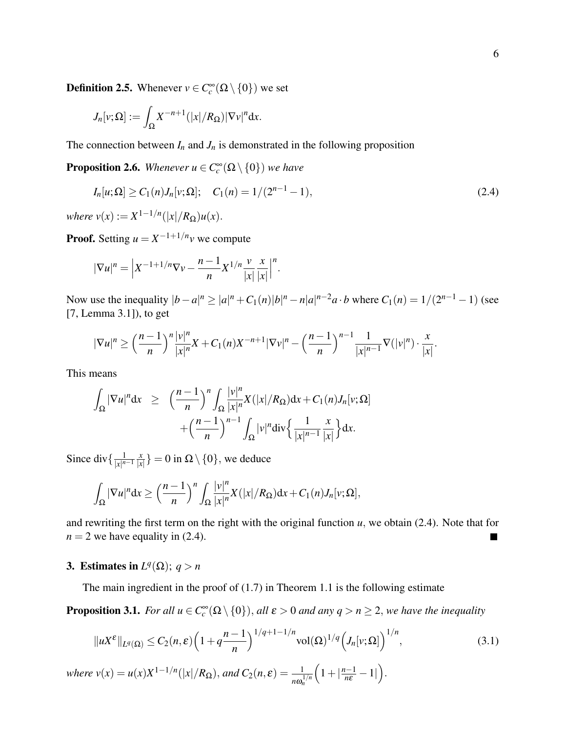**Definition 2.5.** Whenever  $v \in C_c^{\infty}(\Omega \setminus \{0\})$  we set

$$
J_n[v;\Omega] := \int_{\Omega} X^{-n+1}(|x|/R_{\Omega}) |\nabla v|^n dx.
$$

The connection between  $I_n$  and  $J_n$  is demonstrated in the following proposition

**Proposition 2.6.** Whenever  $u \in C_c^{\infty}(\Omega \setminus \{0\})$  we have

$$
I_n[u;\Omega] \ge C_1(n)J_n[v;\Omega]; \quad C_1(n) = 1/(2^{n-1}-1), \tag{2.4}
$$

 $where v(x) := X^{1-1/n}(|x|/R_{\Omega})u(x).$ 

**Proof.** Setting  $u = X^{-1+1/n}v$  we compute

$$
|\nabla u|^n = \left| X^{-1+1/n} \nabla v - \frac{n-1}{n} X^{1/n} \frac{v}{|x|} \frac{x}{|x|} \right|^n.
$$

Now use the inequality  $|b - a|^n \ge |a|^n + C_1(n)|b|^n - n|a|^{n-2}a \cdot b$  where  $C_1(n) = 1/(2^{n-1}-1)$  (see [7, Lemma 3.1]), to get

$$
|\nabla u|^n \ge \left(\frac{n-1}{n}\right)^n \frac{|v|^n}{|x|^n} X + C_1(n) X^{-n+1} |\nabla v|^n - \left(\frac{n-1}{n}\right)^{n-1} \frac{1}{|x|^{n-1}} \nabla (|v|^n) \cdot \frac{x}{|x|}.
$$

This means

$$
\int_{\Omega} |\nabla u|^n dx \ge \left( \frac{n-1}{n} \right)^n \int_{\Omega} \frac{|v|^n}{|x|^n} X(|x|/R_{\Omega}) dx + C_1(n) J_n[v;\Omega] + \left( \frac{n-1}{n} \right)^{n-1} \int_{\Omega} |v|^n \text{div} \left\{ \frac{1}{|x|^{n-1}} \frac{x}{|x|} \right\} dx.
$$

Since div $\{\frac{1}{|x|^n}$  $\sqrt{|x|^{n-1}}$ *x*  $\frac{x}{|x|}$  = 0 in  $\Omega \setminus \{0\}$ , we deduce

$$
\int_{\Omega}|\nabla u|^n dx \geq \left(\frac{n-1}{n}\right)^n \int_{\Omega} \frac{|v|^n}{|x|^n} X(|x|/R_{\Omega}) dx + C_1(n)J_n[v;\Omega],
$$

and rewriting the first term on the right with the original function  $u$ , we obtain (2.4). Note that for  $n = 2$  we have equality in (2.4). ٦

## 3. Estimates in  $L^q(\Omega)$ ;  $q > n$

The main ingredient in the proof of  $(1.7)$  in Theorem 1.1 is the following estimate

**Proposition 3.1.** *For all*  $u \in C_c^{\infty}(\Omega \setminus \{0\})$ , *all*  $\varepsilon > 0$  *and any*  $q > n \ge 2$ , *we have the inequality* 

$$
||uX^{\varepsilon}||_{L^{q}(\Omega)} \leq C_{2}(n,\varepsilon) \left(1 + q^{\frac{n-1}{n}}\right)^{1/q+1-1/n} \mathrm{vol}(\Omega)^{1/q} \left(J_{n}[v;\Omega]\right)^{1/n},\tag{3.1}
$$

*where*  $v(x) = u(x)X^{1-1/n}(|x|/R_{\Omega})$ , *and*  $C_2(n,\varepsilon) = \frac{1}{n\omega_n^{1/n}}$  $\left(1+|\frac{n-1}{n\varepsilon}-1|\right).$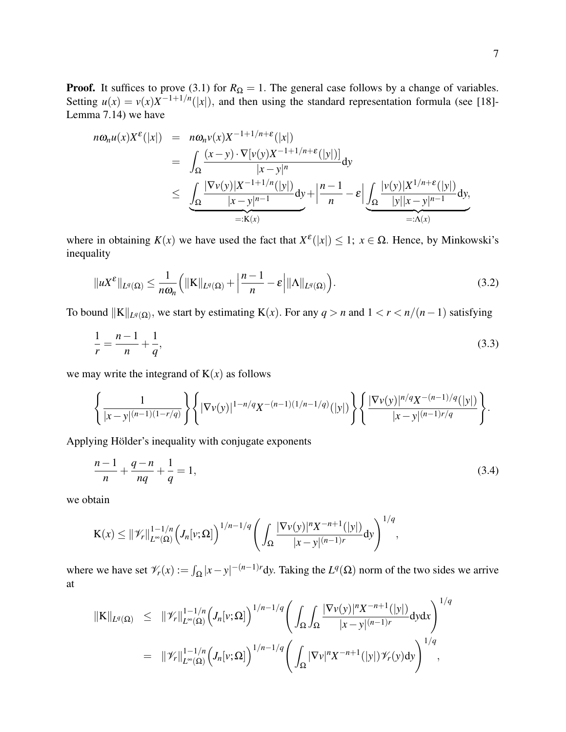**Proof.** It suffices to prove (3.1) for  $R_{\Omega} = 1$ . The general case follows by a change of variables. Setting  $u(x) = v(x)X^{-1+1/n}(|x|)$ , and then using the standard representation formula (see [18]-Lemma 7.14) we have

$$
n\omega_n u(x)X^{\varepsilon}(|x|) = n\omega_n v(x)X^{-1+1/n+\varepsilon}(|x|)
$$
  
= 
$$
\int_{\Omega} \frac{(x-y) \cdot \nabla[v(y)X^{-1+1/n+\varepsilon}(|y|)]}{|x-y|^n} dy
$$
  

$$
\leq \underbrace{\int_{\Omega} \frac{|\nabla v(y)|X^{-1+1/n}(|y|)}{|x-y|^{n-1}} dy}_{=:K(x)} + \left| \frac{n-1}{n} - \varepsilon \right| \underbrace{\int_{\Omega} \frac{|v(y)|X^{1/n+\varepsilon}(|y|)}{|y||x-y|^{n-1}} dy}_{=:K(x)},
$$

where in obtaining  $K(x)$  we have used the fact that  $X^{\varepsilon}(|x|) \leq 1$ ;  $x \in \Omega$ . Hence, by Minkowski's inequality

$$
||uX^{\varepsilon}||_{L^{q}(\Omega)} \leq \frac{1}{n\omega_{n}} \Big(||K||_{L^{q}(\Omega)} + \left|\frac{n-1}{n} - \varepsilon\right| ||\Lambda||_{L^{q}(\Omega)}\Big).
$$
\n(3.2)

To bound  $||K||_{L^q(\Omega)}$ , we start by estimating K(*x*). For any  $q > n$  and  $1 < r < n/(n-1)$  satisfying

$$
\frac{1}{r} = \frac{n-1}{n} + \frac{1}{q},\tag{3.3}
$$

we may write the integrand of  $K(x)$  as follows

$$
\left\{\frac{1}{|x-y|^{(n-1)(1-r/q)}}\right\} \left\{ |\nabla v(y)|^{1-n/q} X^{-(n-1)(1/n-1/q)}(|y|) \right\} \left\{ \frac{|\nabla v(y)|^{n/q} X^{-(n-1)/q}(|y|)}{|x-y|^{(n-1)r/q}} \right\}.
$$

Applying Hölder's inequality with conjugate exponents

$$
\frac{n-1}{n} + \frac{q-n}{nq} + \frac{1}{q} = 1,\tag{3.4}
$$

we obtain

$$
K(x) \leq ||\mathscr{V}_r||_{L^{\infty}(\Omega)}^{1-1/n} \Big(J_n[v;\Omega]\Big)^{1/n-1/q} \Bigg( \int_{\Omega} \frac{|\nabla v(y)|^n X^{-n+1}(|y|)}{|x-y|^{(n-1)r}} dy \Bigg)^{1/q},
$$

where we have set  $\mathcal{V}_r(x) := \int_{\Omega} |x - y|^{-(n-1)r} dy$ . Taking the  $L^q(\Omega)$  norm of the two sides we arrive at

$$
\begin{array}{lcl} \|\mathrm{K}\|_{L^{q}(\Omega)} & \leq & \|\mathscr{V}_{r}\|_{L^{\infty}(\Omega)}^{1-1/n} \bigg( \int_{\Omega} \int_{\Omega} \frac{|\nabla v(y)|^{n} X^{-n+1}(|y|)}{|x-y|^{(n-1)r}} \mathrm{d}y \mathrm{d}x \bigg)^{1/q} \\ \\ & = & \|\mathscr{V}_{r}\|_{L^{\infty}(\Omega)}^{1-1/n} \bigg( J_{n}[v;\Omega] \bigg)^{1/n-1/q} \bigg( \int_{\Omega} |\nabla v|^{n} X^{-n+1}(|y|) \mathscr{V}_{r}(y) \mathrm{d}y \bigg)^{1/q} , \end{array}
$$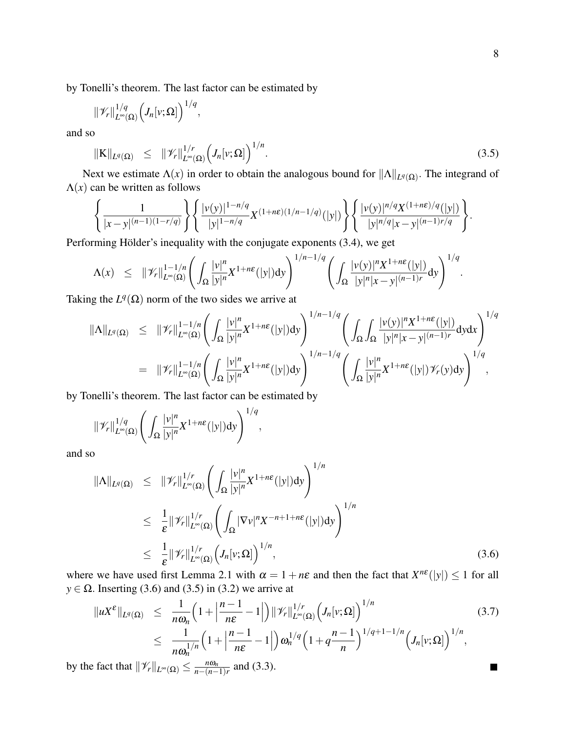П

by Tonelli's theorem. The last factor can be estimated by

$$
\|\mathscr{V}_r\|_{L^{\infty}(\Omega)}^{1/q}\Big(J_n[v;\Omega]\Big)^{1/q},\,
$$

and so

$$
\|\mathbf{K}\|_{L^{q}(\Omega)} \leq \|\mathscr{V}_r\|_{L^{\infty}(\Omega)}^{1/r} \Big( J_n[v;\Omega] \Big)^{1/n}.
$$
\n(3.5)

Next we estimate  $\Lambda(x)$  in order to obtain the analogous bound for  $\|\Lambda\|_{L^q(\Omega)}$ . The integrand of  $\Lambda(x)$  can be written as follows

$$
\left\{\frac{1}{|x-y|^{(n-1)(1-r/q)}}\right\} \left\{\frac{|v(y)|^{1-n/q}}{|y|^{1-n/q}} X^{(1+n\epsilon)(1/n-1/q)}(|y|) \right\} \left\{\frac{|v(y)|^{n/q} X^{(1+n\epsilon)/q}(|y|)}{|y|^{n/q} |x-y|^{(n-1)r/q}}\right\}.
$$

Performing Hölder's inequality with the conjugate exponents (3.4), we get

$$
\Lambda(x) \leq \|\mathscr{V}_r\|_{L^{\infty}(\Omega)}^{1-1/n} \left( \int_{\Omega} \frac{|v|^n}{|y|^n} X^{1+n\epsilon}(|y|) dy \right)^{1/n-1/q} \left( \int_{\Omega} \frac{|v(y)|^n X^{1+n\epsilon}(|y|)}{|y|^n |x-y|^{(n-1)r}} dy \right)^{1/q}.
$$

Taking the  $L^q(\Omega)$  norm of the two sides we arrive at

$$
\|\Lambda\|_{L^q(\Omega)} \leq \|\mathscr{V}_r\|_{L^\infty(\Omega)}^{1-1/n} \bigg( \int_{\Omega} \frac{|v|^n}{|y|^n} X^{1+n\epsilon}(|y|) dy \bigg)^{1/n-1/q} \bigg( \int_{\Omega} \int_{\Omega} \frac{|v(y)|^n X^{1+n\epsilon}(|y|)}{|y|^n |x-y|^{(n-1)r}} dy dx \bigg)^{1/q}
$$
  

$$
= \|\mathscr{V}_r\|_{L^\infty(\Omega)}^{1-1/n} \bigg( \int_{\Omega} \frac{|v|^n}{|y|^n} X^{1+n\epsilon}(|y|) dy \bigg)^{1/n-1/q} \bigg( \int_{\Omega} \frac{|v|^n}{|y|^n} X^{1+n\epsilon}(|y|) \mathscr{V}_r(y) dy \bigg)^{1/q},
$$

by Tonelli's theorem. The last factor can be estimated by

$$
\|\mathscr{V}_r\|_{L^{\infty}(\Omega)}^{1/q}\left(\int_{\Omega}\frac{|v|^n}{|y|^n}X^{1+n\epsilon}(|y|)dy\right)^{1/q},\,
$$

and so

$$
\|\Lambda\|_{L^{q}(\Omega)} \leq \|\mathscr{V}_{r}\|_{L^{\infty}(\Omega)}^{1/r} \left( \int_{\Omega} \frac{|v|^{n}}{|y|^{n}} X^{1+n\epsilon}(|y|) dy \right)^{1/n}
$$
  
\n
$$
\leq \frac{1}{\epsilon} \|\mathscr{V}_{r}\|_{L^{\infty}(\Omega)}^{1/r} \left( \int_{\Omega} |\nabla v|^{n} X^{-n+1+n\epsilon}(|y|) dy \right)^{1/n}
$$
  
\n
$$
\leq \frac{1}{\epsilon} \|\mathscr{V}_{r}\|_{L^{\infty}(\Omega)}^{1/r} \left( J_{n}[v;\Omega] \right)^{1/n}, \tag{3.6}
$$

where we have used first Lemma 2.1 with  $\alpha = 1 + n\varepsilon$  and then the fact that  $X^{n\varepsilon}(|y|) \le 1$  for all  $y \in \Omega$ . Inserting (3.6) and (3.5) in (3.2) we arrive at

$$
\|uX^{\varepsilon}\|_{L^{q}(\Omega)} \leq \frac{1}{n\omega_{n}} \Big(1 + \Big|\frac{n-1}{n\varepsilon} - 1\Big|\Big) \|\mathscr{V}_{r}\|_{L^{\infty}(\Omega)}^{1/r} \Big(J_{n}[v;\Omega]\Big)^{1/n} \leq \frac{1}{n\omega_{n}^{1/n}} \Big(1 + \Big|\frac{n-1}{n\varepsilon} - 1\Big|\Big) \omega_{n}^{1/q} \Big(1 + q\frac{n-1}{n}\Big)^{1/q+1-1/n} \Big(J_{n}[v;\Omega]\Big)^{1/n},
$$
\n(3.7)

by the fact that  $\|\mathscr{V}_r\|_{L^\infty(\Omega)} \leq \frac{n\omega_n}{n-(n-1)}$  $\frac{n\omega_n}{n-(n-1)r}$  and (3.3).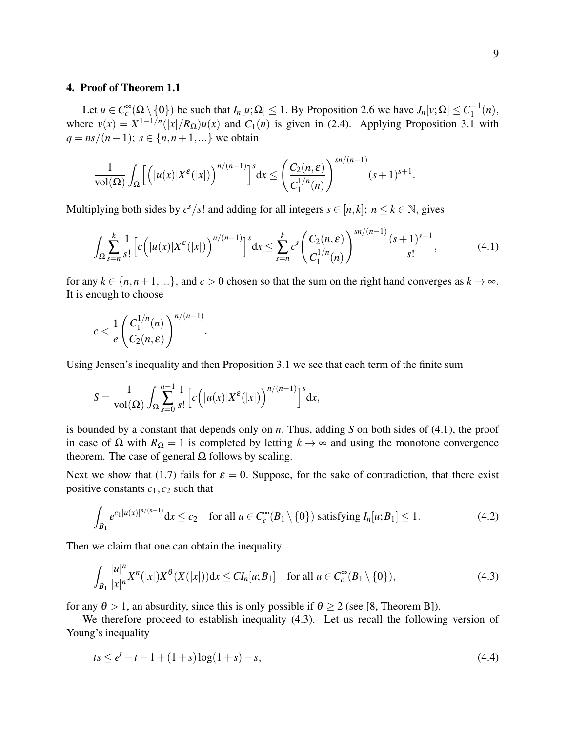### 4. Proof of Theorem 1.1

Let  $u \in C_c^{\infty}(\Omega \setminus \{0\})$  be such that  $I_n[u;\Omega] \leq 1$ . By Proposition 2.6 we have  $J_n[v;\Omega] \leq C_1^{-1}(n)$ , where  $v(x) = X^{1-1/n}(|x|/R_{\Omega})u(x)$  and  $C_1(n)$  is given in (2.4). Applying Proposition 3.1 with *q* =  $ns/(n-1)$ ; *s* ∈ {*n*,*n*+1,...} we obtain

$$
\frac{1}{\mathrm{vol}(\Omega)}\int_{\Omega}\Big[\Big(\big|u(x)|X^{\varepsilon}(|x|)\Big)^{n/(n-1)}\Big]^s\mathrm{d} x\leq \Big(\frac{C_2(n,\varepsilon)}{C_1^{1/n}(n)}\Big)^{sn/(n-1)}(s+1)^{s+1}.
$$

Multiplying both sides by  $c^s/s!$  and adding for all integers  $s \in [n, k]$ ;  $n \le k \in \mathbb{N}$ , gives

$$
\int_{\Omega} \sum_{s=n}^{k} \frac{1}{s!} \left[ c \left( |u(x)| X^{\varepsilon}(|x|) \right)^{n/(n-1)} \right]^s dx \leq \sum_{s=n}^{k} c^s \left( \frac{C_2(n, \varepsilon)}{C_1^{1/n}(n)} \right)^{sn/(n-1)} \frac{(s+1)^{s+1}}{s!},\tag{4.1}
$$

for any  $k \in \{n, n+1, \ldots\}$ , and  $c > 0$  chosen so that the sum on the right hand converges as  $k \to \infty$ . It is enough to choose

$$
c < \frac{1}{e} \left( \frac{C_1^{1/n}(n)}{C_2(n, \varepsilon)} \right)^{n/(n-1)}
$$

Using Jensen's inequality and then Proposition 3.1 we see that each term of the finite sum

$$
S = \frac{1}{\text{vol}(\Omega)} \int_{\Omega} \sum_{s=0}^{n-1} \frac{1}{s!} \left[ c \left( |u(x)| X^{\varepsilon}(|x|) \right)^{n/(n-1)} \right]^{s} dx,
$$

.

is bounded by a constant that depends only on *n*. Thus, adding *S* on both sides of (4.1), the proof in case of  $\Omega$  with  $R_{\Omega} = 1$  is completed by letting  $k \to \infty$  and using the monotone convergence theorem. The case of general  $Ω$  follows by scaling.

Next we show that (1.7) fails for  $\varepsilon = 0$ . Suppose, for the sake of contradiction, that there exist positive constants  $c_1$ ,  $c_2$  such that

$$
\int_{B_1} e^{c_1|u(x)|^{n/(n-1)}} dx \le c_2 \quad \text{for all } u \in C_c^{\infty}(B_1 \setminus \{0\}) \text{ satisfying } I_n[u;B_1] \le 1. \tag{4.2}
$$

Then we claim that one can obtain the inequality

$$
\int_{B_1} \frac{|u|^n}{|x|^n} X^n(|x|) X^{\theta}(X(|x|)) dx \leq C I_n[u; B_1] \quad \text{for all } u \in C_c^{\infty}(B_1 \setminus \{0\}),
$$
\n(4.3)

for any  $\theta > 1$ , an absurdity, since this is only possible if  $\theta > 2$  (see [8, Theorem B]).

We therefore proceed to establish inequality (4.3). Let us recall the following version of Young's inequality

$$
ts \le e^t - t - 1 + (1 + s) \log(1 + s) - s,\tag{4.4}
$$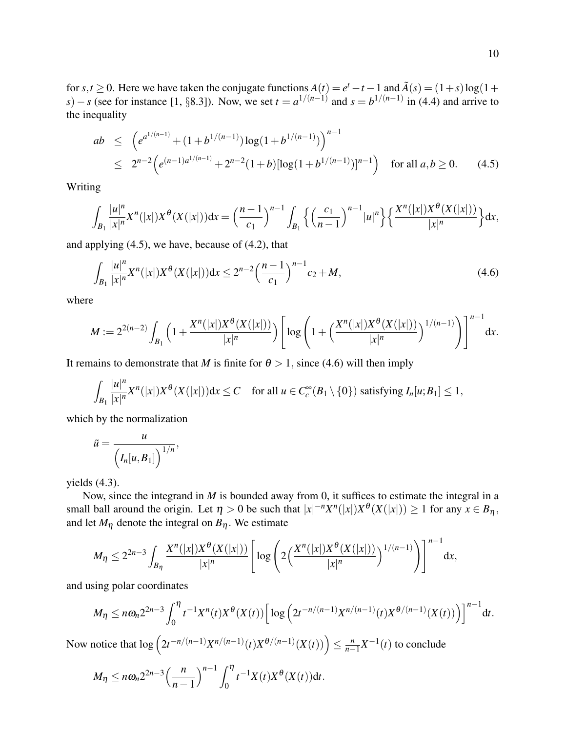for *s*,*t* ≥ 0. Here we have taken the conjugate functions  $A(t) = e^t - t - 1$  and  $\tilde{A}(s) = (1+s) \log(1 +$ *s*)−*s* (see for instance [1, §8.3]). Now, we set  $t = a^{1/(n-1)}$  and  $s = b^{1/(n-1)}$  in (4.4) and arrive to the inequality

$$
ab \leq \left(e^{a^{1/(n-1)}} + (1+b^{1/(n-1)})\log(1+b^{1/(n-1)})\right)^{n-1}
$$
  
 
$$
\leq 2^{n-2} \left(e^{(n-1)a^{1/(n-1)}} + 2^{n-2}(1+b)[\log(1+b^{1/(n-1)})]^{n-1}\right) \text{ for all } a,b \geq 0. \tag{4.5}
$$

Writing

$$
\int_{B_1} \frac{|u|^n}{|x|^n} X^n(|x|) X^{\theta}(X(|x|)) dx = \left(\frac{n-1}{c_1}\right)^{n-1} \int_{B_1} \left\{ \left(\frac{c_1}{n-1}\right)^{n-1} |u|^n \right\} \left\{ \frac{X^n(|x|) X^{\theta}(X(|x|))}{|x|^n} \right\} dx,
$$

and applying (4.5), we have, because of (4.2), that

$$
\int_{B_1} \frac{|u|^n}{|x|^n} X^n(|x|) X^{\theta}(X(|x|)) dx \le 2^{n-2} \left(\frac{n-1}{c_1}\right)^{n-1} c_2 + M,\tag{4.6}
$$

where

$$
M := 2^{2(n-2)} \int_{B_1} \left( 1 + \frac{X^n(|x|)X^{\theta}(X(|x|))}{|x|^n} \right) \left[ \log \left( 1 + \left( \frac{X^n(|x|)X^{\theta}(X(|x|))}{|x|^n} \right)^{1/(n-1)} \right) \right]^{n-1} dx.
$$

It remains to demonstrate that *M* is finite for  $\theta > 1$ , since (4.6) will then imply

$$
\int_{B_1} \frac{|u|^n}{|x|^n} X^n(|x|) X^{\theta}(X(|x|)) dx \leq C \quad \text{for all } u \in C_c^{\infty}(B_1 \setminus \{0\}) \text{ satisfying } I_n[u; B_1] \leq 1,
$$

which by the normalization

$$
\tilde{u} = \frac{u}{\left(I_n[u, B_1]\right)^{1/n}},
$$

yields (4.3).

Now, since the integrand in *M* is bounded away from 0, it suffices to estimate the integral in a small ball around the origin. Let  $\eta > 0$  be such that  $|x|^{-n}X^n(|x|)X^{\theta}(X(|x|)) \ge 1$  for any  $x \in B_{\eta}$ , and let  $M_{\eta}$  denote the integral on  $B_{\eta}$ . We estimate

$$
M_{\eta} \leq 2^{2n-3} \int_{B_{\eta}} \frac{X^{n}(|x|)X^{\theta}(X(|x|))}{|x|^{n}} \left[ \log \left( 2\left( \frac{X^{n}(|x|)X^{\theta}(X(|x|))}{|x|^{n}} \right)^{1/(n-1)} \right) \right]^{n-1} dx,
$$

and using polar coordinates

$$
M_{\eta} \leq n\omega_n 2^{2n-3} \int_0^{\eta} t^{-1} X^n(t) X^{\theta}(X(t)) \Big[ \log \Big( 2t^{-n/(n-1)} X^{n/(n-1)}(t) X^{\theta/(n-1)}(X(t)) \Big) \Big]^{n-1} \mathrm{d}t.
$$

Now notice that  $\log (2t^{-n/(n-1)}X^{n/(n-1)}(t)X^{\theta/(n-1)}(X(t))) \leq \frac{n}{n-1}$  $\frac{n}{n-1}X^{-1}(t)$  to conclude

$$
M_{\eta} \leq n\omega_n 2^{2n-3} \left(\frac{n}{n-1}\right)^{n-1} \int_0^{\eta} t^{-1} X(t) X^{\theta}(X(t)) dt.
$$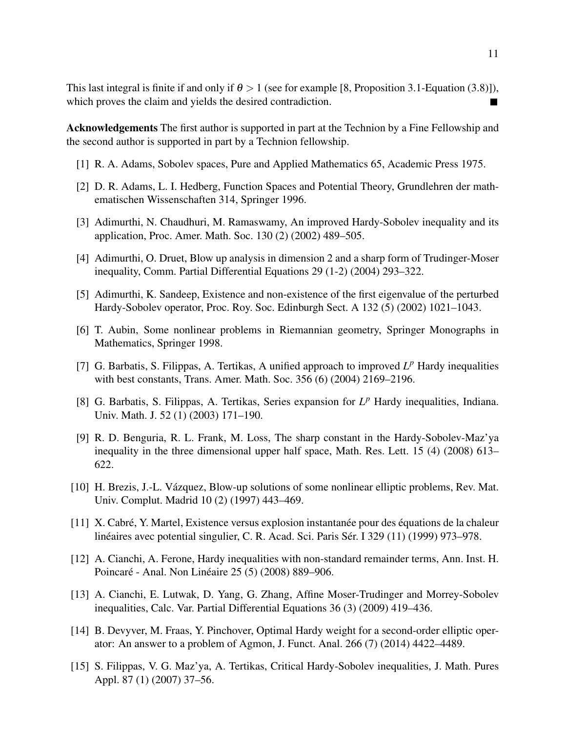This last integral is finite if and only if  $\theta > 1$  (see for example [8, Proposition 3.1-Equation (3.8)]), which proves the claim and yields the desired contradiction. П

Acknowledgements The first author is supported in part at the Technion by a Fine Fellowship and the second author is supported in part by a Technion fellowship.

- [1] R. A. Adams, Sobolev spaces, Pure and Applied Mathematics 65, Academic Press 1975.
- [2] D. R. Adams, L. I. Hedberg, Function Spaces and Potential Theory, Grundlehren der mathematischen Wissenschaften 314, Springer 1996.
- [3] Adimurthi, N. Chaudhuri, M. Ramaswamy, An improved Hardy-Sobolev inequality and its application, Proc. Amer. Math. Soc. 130 (2) (2002) 489–505.
- [4] Adimurthi, O. Druet, Blow up analysis in dimension 2 and a sharp form of Trudinger-Moser inequality, Comm. Partial Differential Equations 29 (1-2) (2004) 293–322.
- [5] Adimurthi, K. Sandeep, Existence and non-existence of the first eigenvalue of the perturbed Hardy-Sobolev operator, Proc. Roy. Soc. Edinburgh Sect. A 132 (5) (2002) 1021–1043.
- [6] T. Aubin, Some nonlinear problems in Riemannian geometry, Springer Monographs in Mathematics, Springer 1998.
- [7] G. Barbatis, S. Filippas, A. Tertikas, A unified approach to improved  $L^p$  Hardy inequalities with best constants, Trans. Amer. Math. Soc. 356 (6) (2004) 2169–2196.
- [8] G. Barbatis, S. Filippas, A. Tertikas, Series expansion for  $L^p$  Hardy inequalities, Indiana. Univ. Math. J. 52 (1) (2003) 171–190.
- [9] R. D. Benguria, R. L. Frank, M. Loss, The sharp constant in the Hardy-Sobolev-Maz'ya inequality in the three dimensional upper half space, Math. Res. Lett. 15 (4) (2008) 613– 622.
- [10] H. Brezis, J.-L. Vázquez, Blow-up solutions of some nonlinear elliptic problems, Rev. Mat. Univ. Complut. Madrid 10 (2) (1997) 443–469.
- [11] X. Cabré, Y. Martel, Existence versus explosion instantanée pour des équations de la chaleur linéaires avec potential singulier, C. R. Acad. Sci. Paris Sér. I 329 (11) (1999) 973–978.
- [12] A. Cianchi, A. Ferone, Hardy inequalities with non-standard remainder terms, Ann. Inst. H. Poincaré - Anal. Non Linéaire 25 (5) (2008) 889–906.
- [13] A. Cianchi, E. Lutwak, D. Yang, G. Zhang, Affine Moser-Trudinger and Morrey-Sobolev inequalities, Calc. Var. Partial Differential Equations 36 (3) (2009) 419–436.
- [14] B. Devyver, M. Fraas, Y. Pinchover, Optimal Hardy weight for a second-order elliptic operator: An answer to a problem of Agmon, J. Funct. Anal. 266 (7) (2014) 4422–4489.
- [15] S. Filippas, V. G. Maz'ya, A. Tertikas, Critical Hardy-Sobolev inequalities, J. Math. Pures Appl. 87 (1) (2007) 37–56.